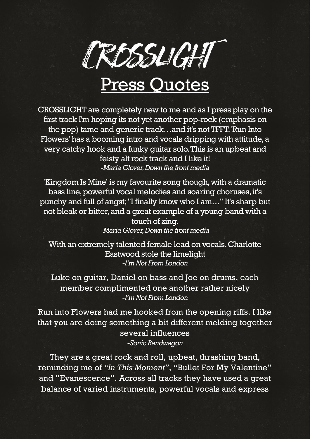

## Press Quotes

CROSSLIGHT are completely new to me and as I press play on the first track I'm hoping its not yet another pop-rock (emphasis on the pop) tame and generic track…and it's not TFFT. 'Run Into Flowers' has a booming intro and vocals dripping with attitude, a very catchy hook and a funky guitar solo. This is an upbeat and feisty alt rock track and I like it! *-Maria Glover, Down the front media*

'Kingdom Is Mine' is my favourite song though, with a dramatic bass line, powerful vocal melodies and soaring choruses, it's punchy and full of angst; "I finally know who I am…" It's sharp but not bleak or bitter, and a great example of a young band with a touch of zing. *-Maria Glover, Down the front media*

With an extremely talented female lead on vocals. Charlotte Eastwood stole the limelight *-I'm Not From London*

Luke on guitar, Daniel on bass and Joe on drums, each member complimented one another rather nicely *-I'm Not From London*

Run into Flowers had me hooked from the opening riffs. I like that you are doing something a bit different melding together several influences *-Sonic Bandwagon*

They are a great rock and roll, upbeat, thrashing band, reminding me of *["In This Moment"](https://www.facebook.com/officialinthismoment/?ref=br_rs)*, ["Bullet For My Valentine"](https://www.facebook.com/BulletForMyValentine/) and ["Evanescence"](https://www.facebook.com/Evanescence/). Across all tracks they have used a great balance of varied instruments, powerful vocals and express